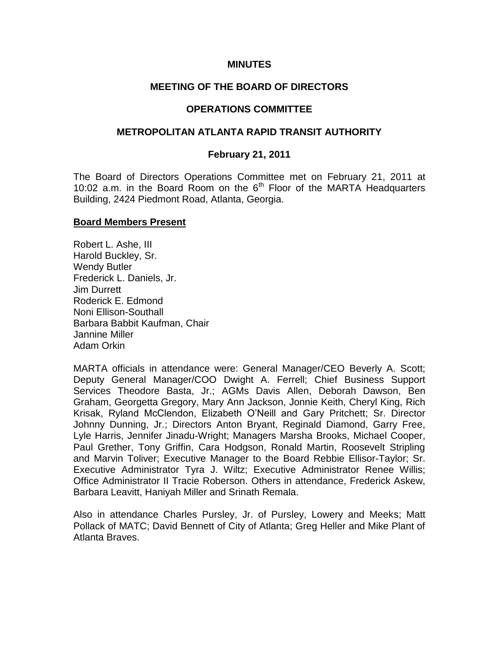#### **MINUTES**

### **MEETING OF THE BOARD OF DIRECTORS**

#### **OPERATIONS COMMITTEE**

#### **METROPOLITAN ATLANTA RAPID TRANSIT AUTHORITY**

#### **February 21, 2011**

The Board of Directors Operations Committee met on February 21, 2011 at 10:02 a.m. in the Board Room on the  $6<sup>th</sup>$  Floor of the MARTA Headquarters Building, 2424 Piedmont Road, Atlanta, Georgia.

#### **Board Members Present**

Robert L. Ashe, III Harold Buckley, Sr. Wendy Butler Frederick L. Daniels, Jr. Jim Durrett Roderick E. Edmond Noni Ellison-Southall Barbara Babbit Kaufman, Chair Jannine Miller Adam Orkin

MARTA officials in attendance were: General Manager/CEO Beverly A. Scott; Deputy General Manager/COO Dwight A. Ferrell; Chief Business Support Services Theodore Basta, Jr.; AGMs Davis Allen, Deborah Dawson, Ben Graham, Georgetta Gregory, Mary Ann Jackson, Jonnie Keith, Cheryl King, Rich Krisak, Ryland McClendon, Elizabeth O'Neill and Gary Pritchett; Sr. Director Johnny Dunning, Jr.; Directors Anton Bryant, Reginald Diamond, Garry Free, Lyle Harris, Jennifer Jinadu-Wright; Managers Marsha Brooks, Michael Cooper, Paul Grether, Tony Griffin, Cara Hodgson, Ronald Martin, Roosevelt Stripling and Marvin Toliver; Executive Manager to the Board Rebbie Ellisor-Taylor; Sr. Executive Administrator Tyra J. Wiltz; Executive Administrator Renee Willis; Office Administrator II Tracie Roberson. Others in attendance, Frederick Askew, Barbara Leavitt, Haniyah Miller and Srinath Remala.

Also in attendance Charles Pursley, Jr. of Pursley, Lowery and Meeks; Matt Pollack of MATC; David Bennett of City of Atlanta; Greg Heller and Mike Plant of Atlanta Braves.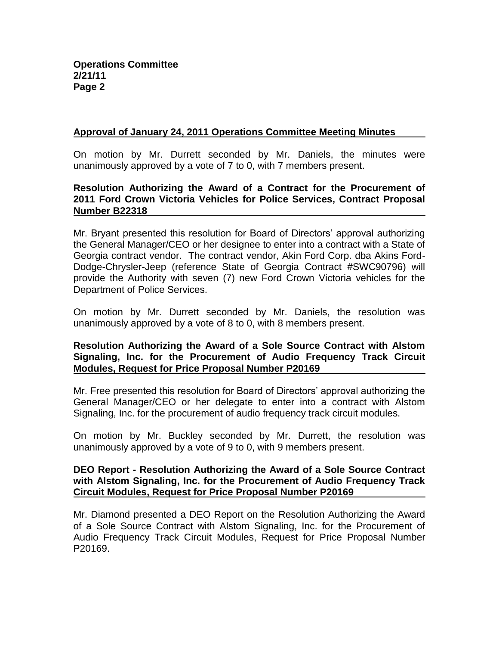### **Approval of January 24, 2011 Operations Committee Meeting Minutes**

On motion by Mr. Durrett seconded by Mr. Daniels, the minutes were unanimously approved by a vote of 7 to 0, with 7 members present.

#### **Resolution Authorizing the Award of a Contract for the Procurement of 2011 Ford Crown Victoria Vehicles for Police Services, Contract Proposal Number B22318**

Mr. Bryant presented this resolution for Board of Directors' approval authorizing the General Manager/CEO or her designee to enter into a contract with a State of Georgia contract vendor. The contract vendor, Akin Ford Corp. dba Akins Ford-Dodge-Chrysler-Jeep (reference State of Georgia Contract #SWC90796) will provide the Authority with seven (7) new Ford Crown Victoria vehicles for the Department of Police Services.

On motion by Mr. Durrett seconded by Mr. Daniels, the resolution was unanimously approved by a vote of 8 to 0, with 8 members present.

### **Resolution Authorizing the Award of a Sole Source Contract with Alstom Signaling, Inc. for the Procurement of Audio Frequency Track Circuit Modules, Request for Price Proposal Number P20169**

Mr. Free presented this resolution for Board of Directors' approval authorizing the General Manager/CEO or her delegate to enter into a contract with Alstom Signaling, Inc. for the procurement of audio frequency track circuit modules.

On motion by Mr. Buckley seconded by Mr. Durrett, the resolution was unanimously approved by a vote of 9 to 0, with 9 members present.

#### **DEO Report - Resolution Authorizing the Award of a Sole Source Contract with Alstom Signaling, Inc. for the Procurement of Audio Frequency Track Circuit Modules, Request for Price Proposal Number P20169**

Mr. Diamond presented a DEO Report on the Resolution Authorizing the Award of a Sole Source Contract with Alstom Signaling, Inc. for the Procurement of Audio Frequency Track Circuit Modules, Request for Price Proposal Number P20169.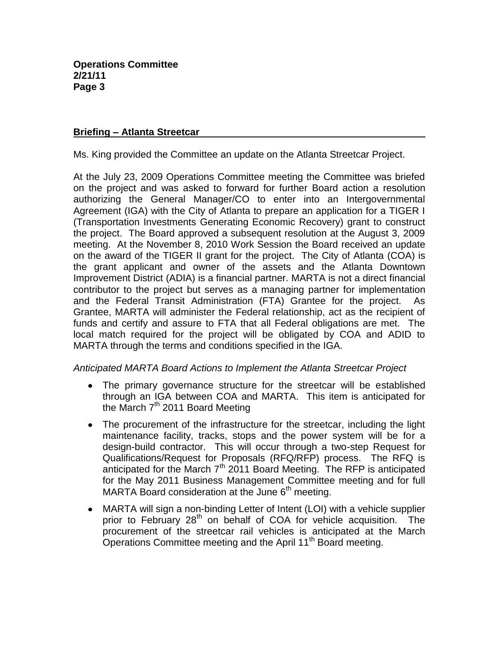### **Briefing – Atlanta Streetcar**

Ms. King provided the Committee an update on the Atlanta Streetcar Project.

At the July 23, 2009 Operations Committee meeting the Committee was briefed on the project and was asked to forward for further Board action a resolution authorizing the General Manager/CO to enter into an Intergovernmental Agreement (IGA) with the City of Atlanta to prepare an application for a TIGER I (Transportation Investments Generating Economic Recovery) grant to construct the project. The Board approved a subsequent resolution at the August 3, 2009 meeting. At the November 8, 2010 Work Session the Board received an update on the award of the TIGER II grant for the project. The City of Atlanta (COA) is the grant applicant and owner of the assets and the Atlanta Downtown Improvement District (ADIA) is a financial partner. MARTA is not a direct financial contributor to the project but serves as a managing partner for implementation and the Federal Transit Administration (FTA) Grantee for the project. As Grantee, MARTA will administer the Federal relationship, act as the recipient of funds and certify and assure to FTA that all Federal obligations are met. The local match required for the project will be obligated by COA and ADID to MARTA through the terms and conditions specified in the IGA.

# *Anticipated MARTA Board Actions to Implement the Atlanta Streetcar Project*

- The primary governance structure for the streetcar will be established through an IGA between COA and MARTA. This item is anticipated for the March  $7<sup>th</sup>$  2011 Board Meeting
- The procurement of the infrastructure for the streetcar, including the light maintenance facility, tracks, stops and the power system will be for a design-build contractor. This will occur through a two-step Request for Qualifications/Request for Proposals (RFQ/RFP) process. The RFQ is anticipated for the March  $7<sup>th</sup>$  2011 Board Meeting. The RFP is anticipated for the May 2011 Business Management Committee meeting and for full MARTA Board consideration at the June  $6<sup>th</sup>$  meeting.
- MARTA will sign a non-binding Letter of Intent (LOI) with a vehicle supplier  $\bullet$ prior to February 28<sup>th</sup> on behalf of COA for vehicle acquisition. The procurement of the streetcar rail vehicles is anticipated at the March Operations Committee meeting and the April 11<sup>th</sup> Board meeting.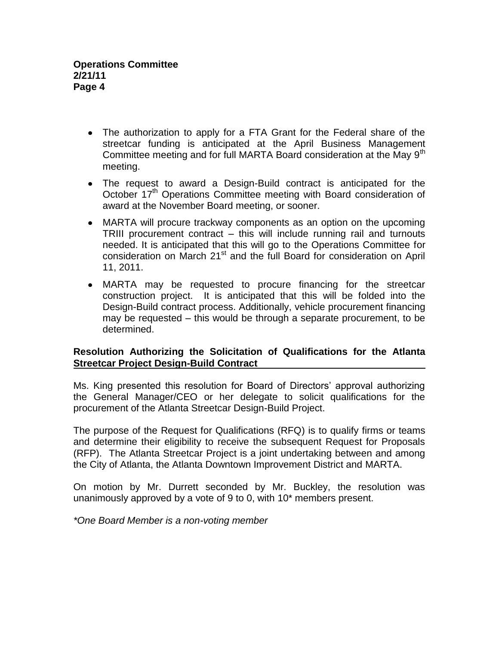- The authorization to apply for a FTA Grant for the Federal share of the streetcar funding is anticipated at the April Business Management Committee meeting and for full MARTA Board consideration at the Mav 9<sup>th</sup> meeting.
- The request to award a Design-Build contract is anticipated for the October 17<sup>th</sup> Operations Committee meeting with Board consideration of award at the November Board meeting, or sooner.
- MARTA will procure trackway components as an option on the upcoming TRIII procurement contract – this will include running rail and turnouts needed. It is anticipated that this will go to the Operations Committee for consideration on March 21<sup>st</sup> and the full Board for consideration on April 11, 2011.
- MARTA may be requested to procure financing for the streetcar construction project. It is anticipated that this will be folded into the Design-Build contract process. Additionally, vehicle procurement financing may be requested – this would be through a separate procurement, to be determined.

# **Resolution Authorizing the Solicitation of Qualifications for the Atlanta Streetcar Project Design-Build Contract**

Ms. King presented this resolution for Board of Directors' approval authorizing the General Manager/CEO or her delegate to solicit qualifications for the procurement of the Atlanta Streetcar Design-Build Project.

The purpose of the Request for Qualifications (RFQ) is to qualify firms or teams and determine their eligibility to receive the subsequent Request for Proposals (RFP). The Atlanta Streetcar Project is a joint undertaking between and among the City of Atlanta, the Atlanta Downtown Improvement District and MARTA.

On motion by Mr. Durrett seconded by Mr. Buckley, the resolution was unanimously approved by a vote of 9 to 0, with 10\* members present.

*\*One Board Member is a non-voting member*